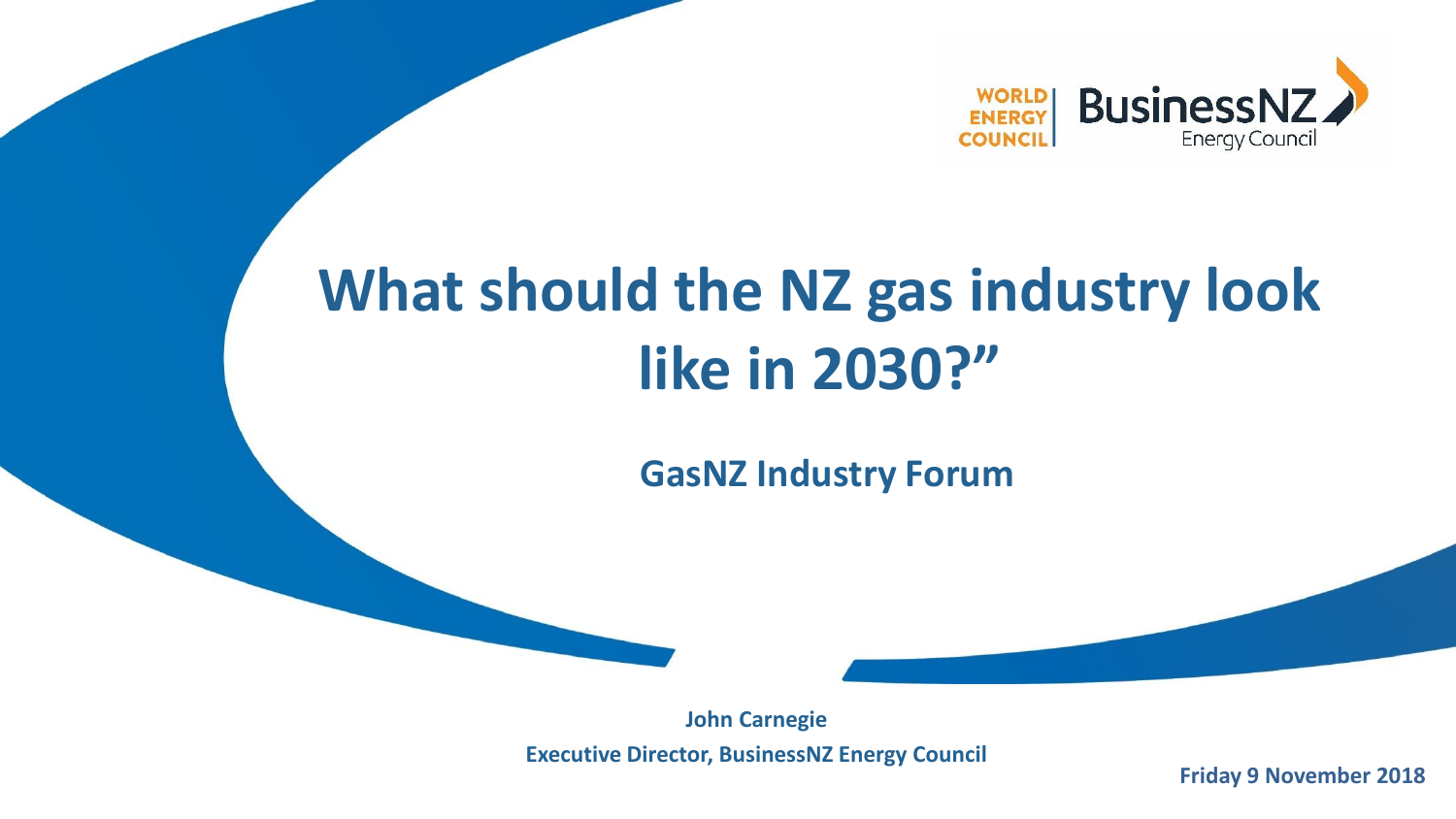

#### **What should the NZ gas industry look like in 2030?"**

**GasNZ Industry Forum**

**John Carnegie Executive Director, BusinessNZ Energy Council**

**Friday 9 November 2018**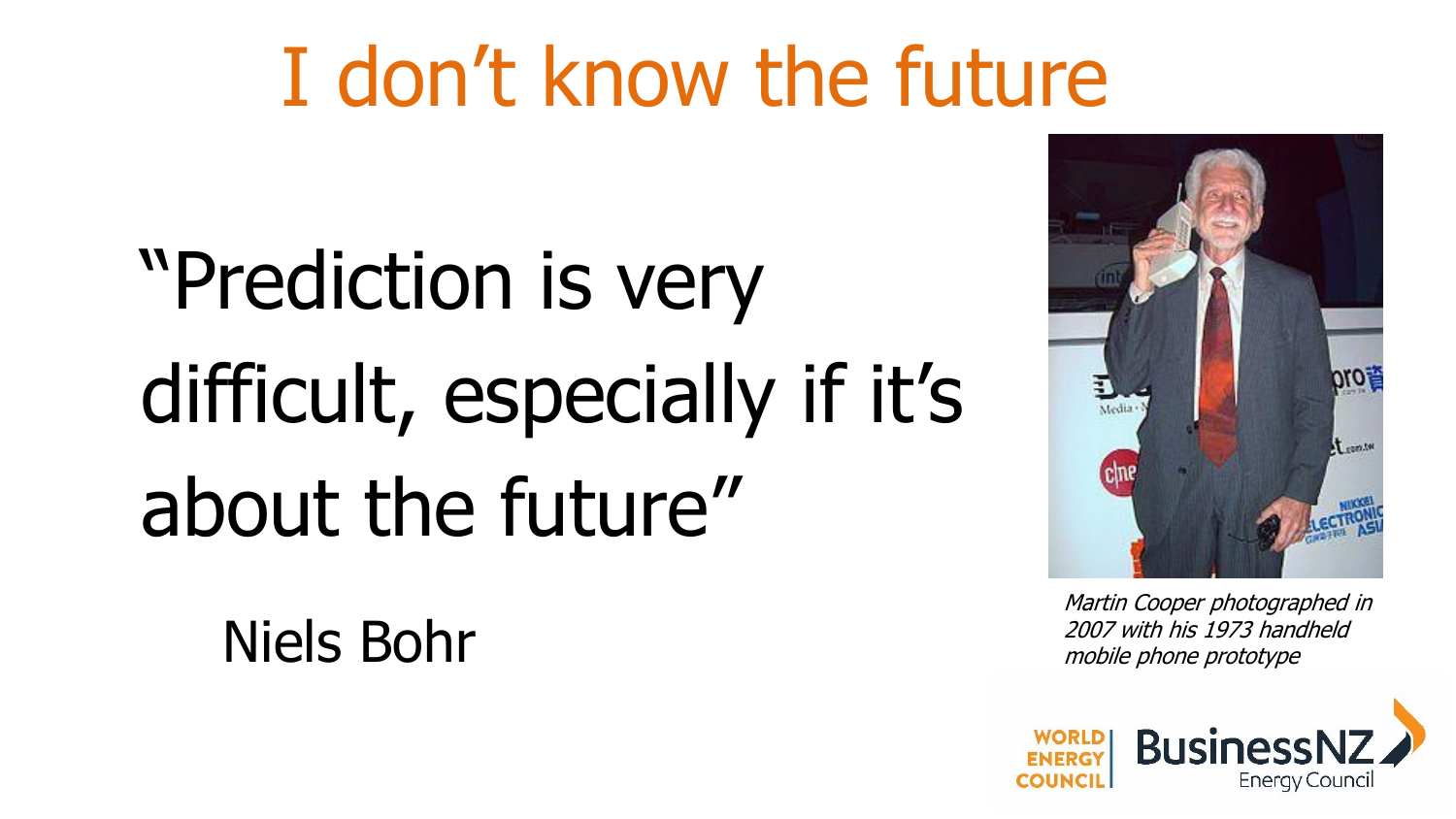## I don't know the future

# "Prediction is very difficult, especially if it's about the future"

Niels Bohr



Martin Cooper photographed in 2007 with his 1973 handheld mobile phone prototype

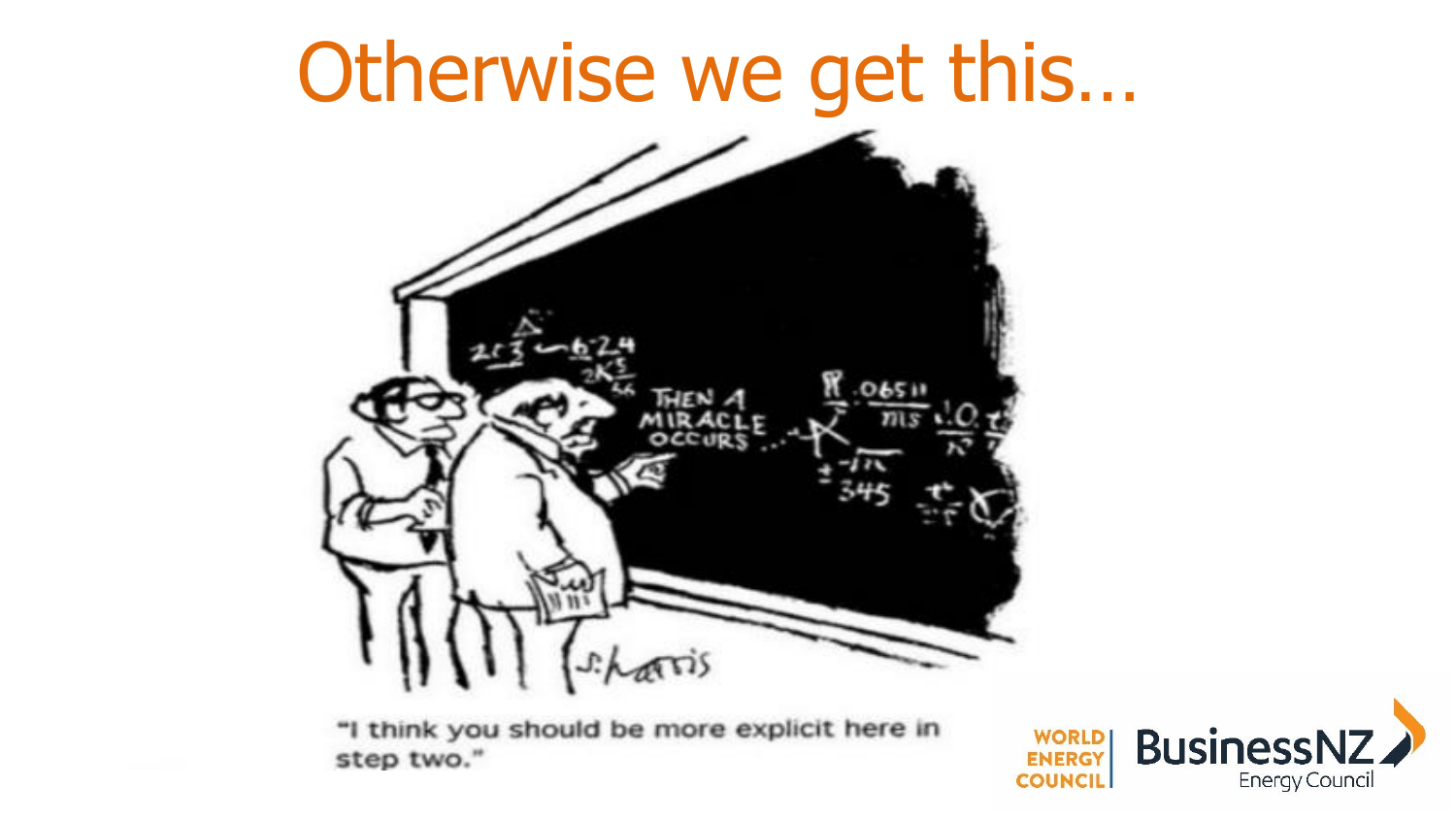#### Otherwise we get this…



"I think you should be more explicit here in step two."

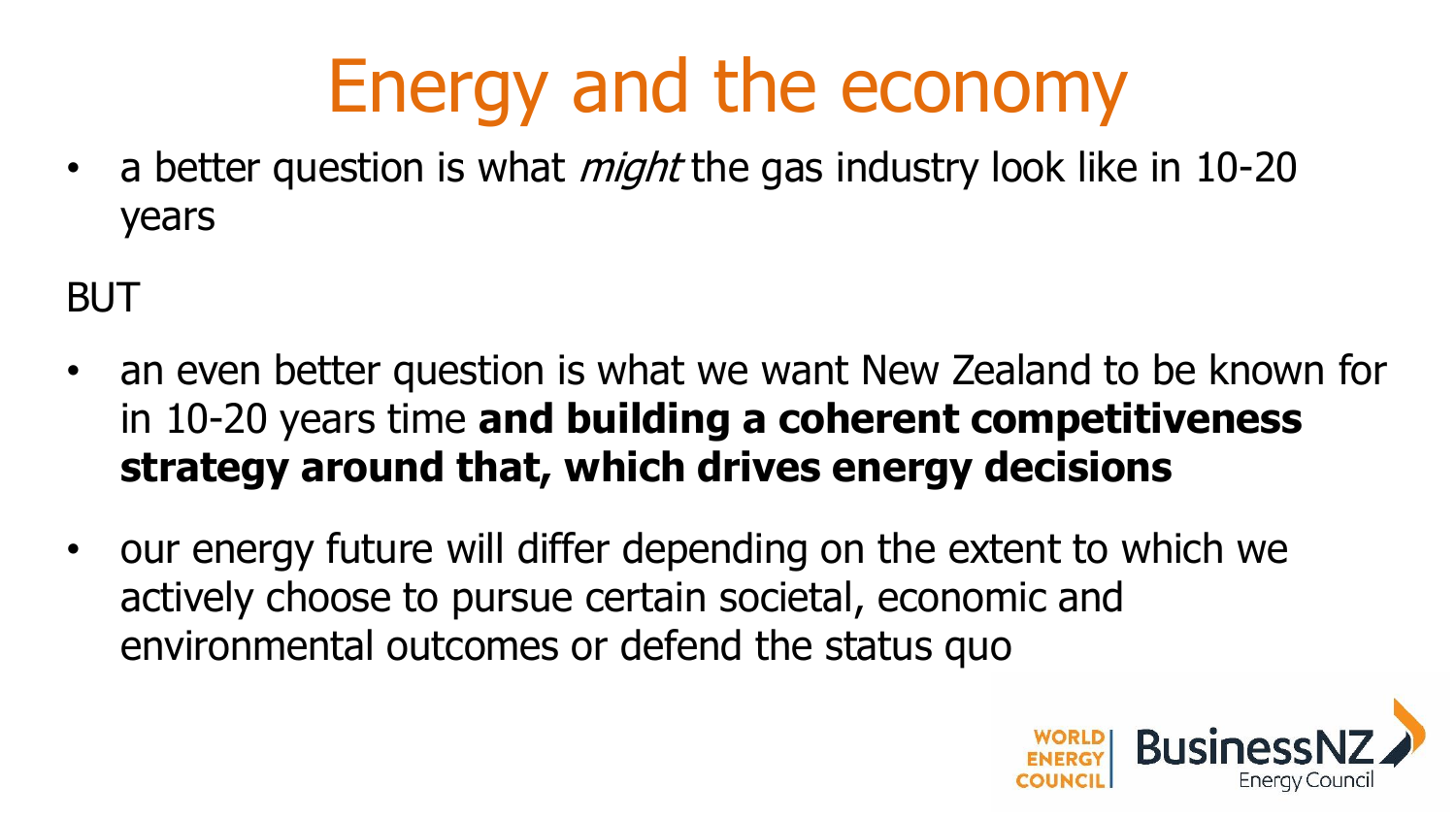#### Energy and the economy

• a better question is what *might* the gas industry look like in 10-20 years

BUT

- an even better question is what we want New Zealand to be known for in 10-20 years time **and building a coherent competitiveness strategy around that, which drives energy decisions**
- our energy future will differ depending on the extent to which we actively choose to pursue certain societal, economic and environmental outcomes or defend the status quo

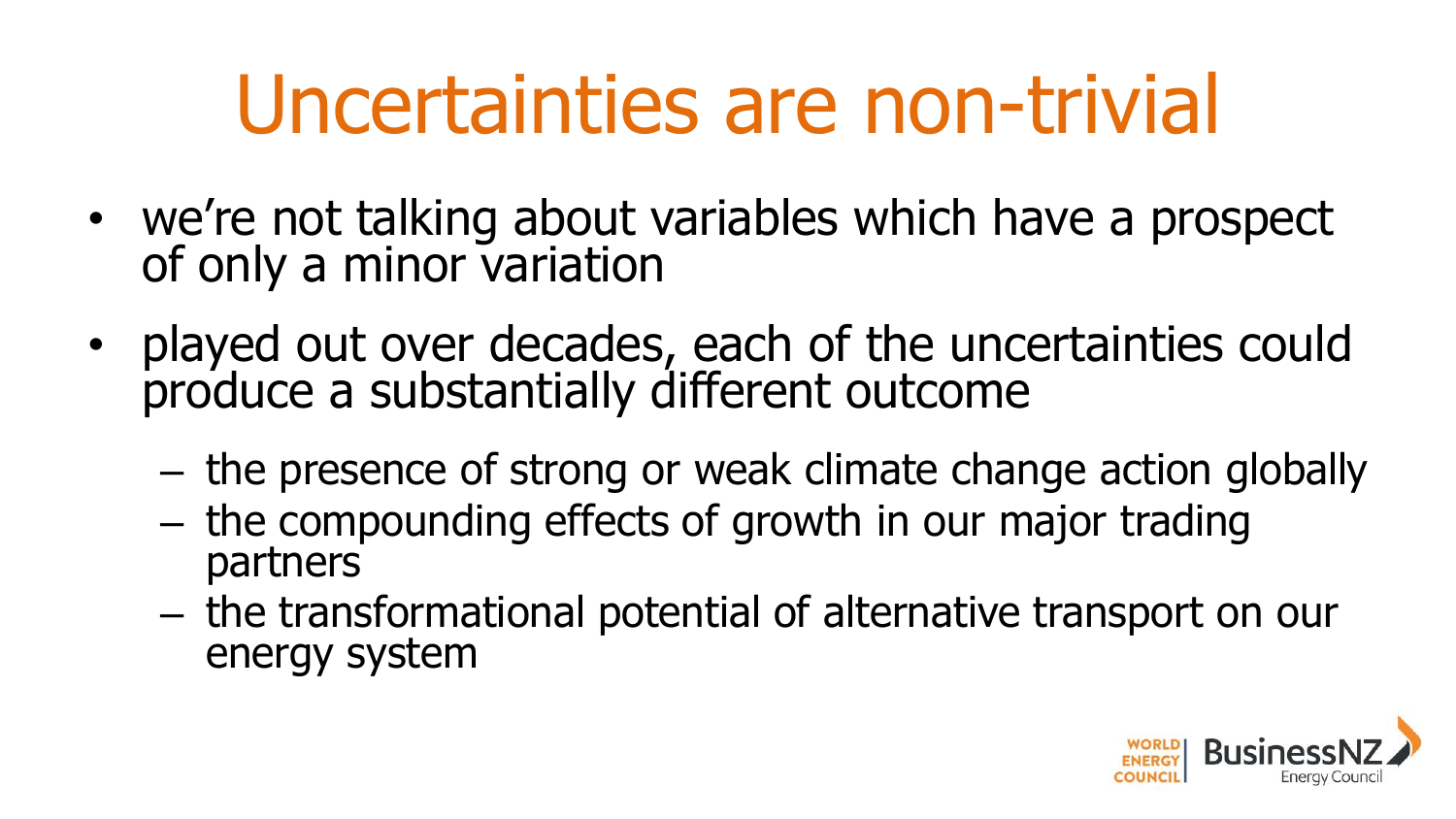## Uncertainties are non-trivial

- we're not talking about variables which have a prospect of only a minor variation
- played out over decades, each of the uncertainties could produce a substantially different outcome
	- the presence of strong or weak climate change action globally
	- the compounding effects of growth in our major trading partners
	- the transformational potential of alternative transport on our energy system

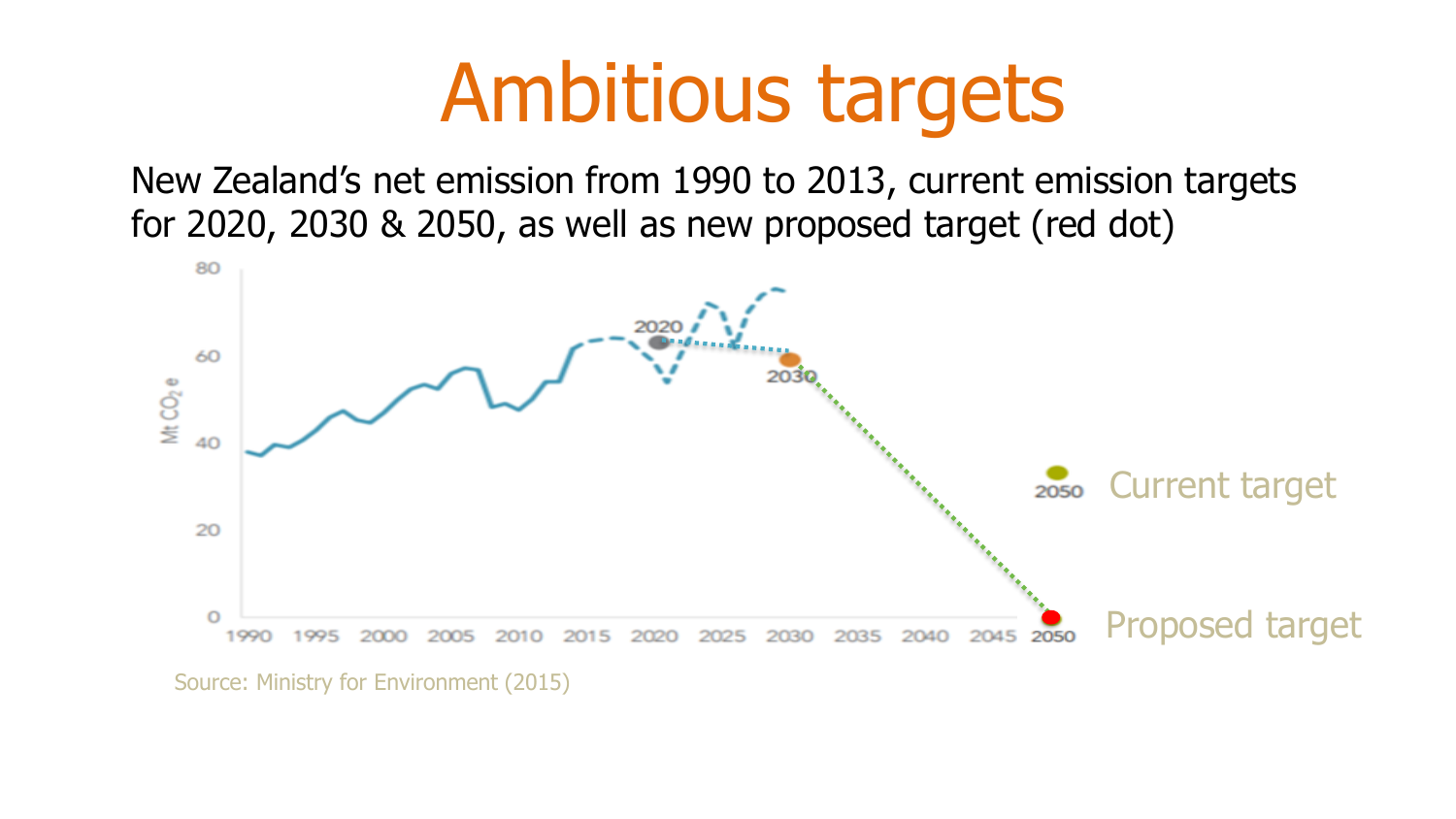#### Ambitious targets

New Zealand's net emission from 1990 to 2013, current emission targets for 2020, 2030 & 2050, as well as new proposed target (red dot)

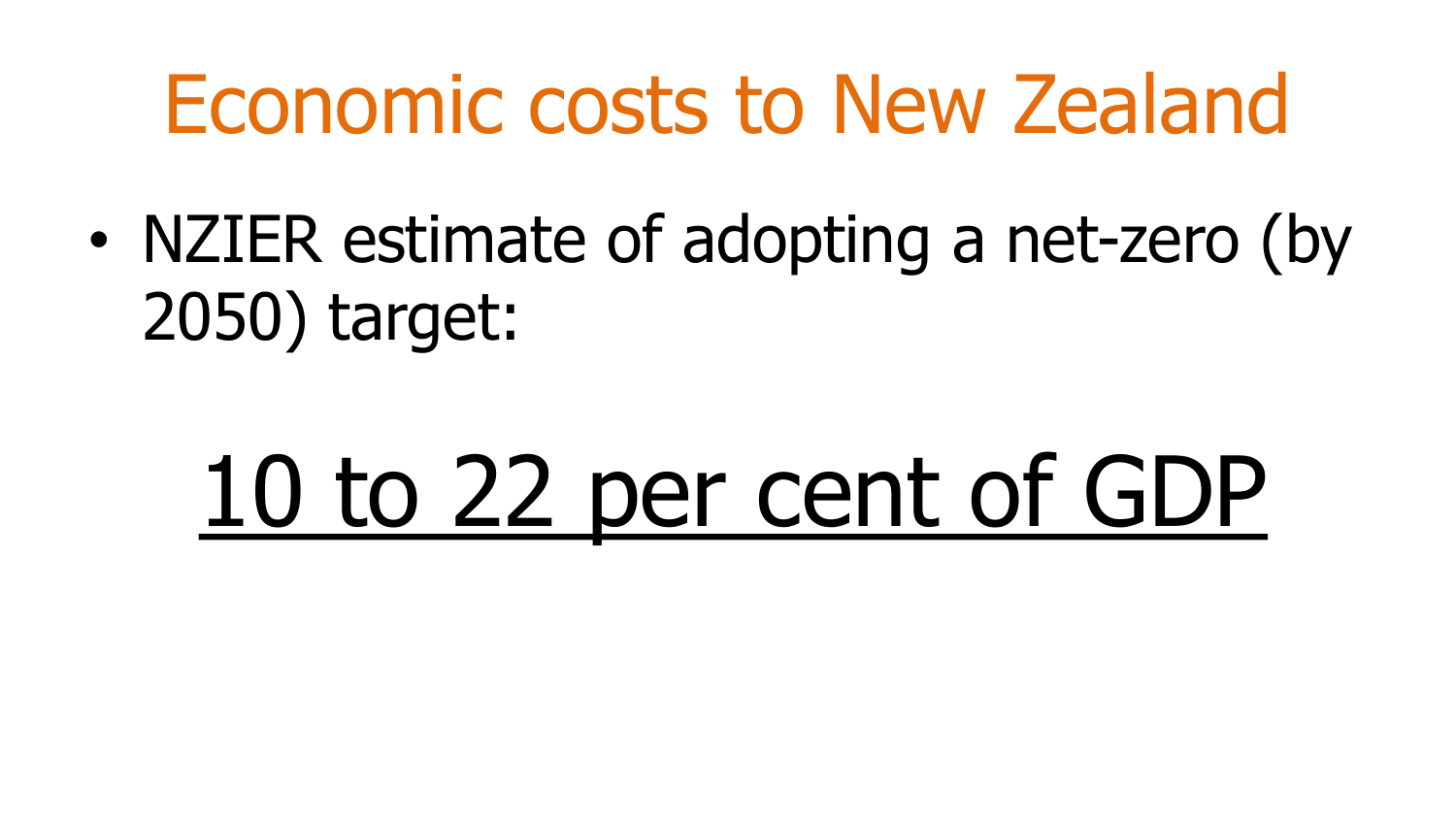#### Economic costs to New Zealand

• NZIER estimate of adopting a net-zero (by 2050) target:

# 10 to 22 per cent of GDP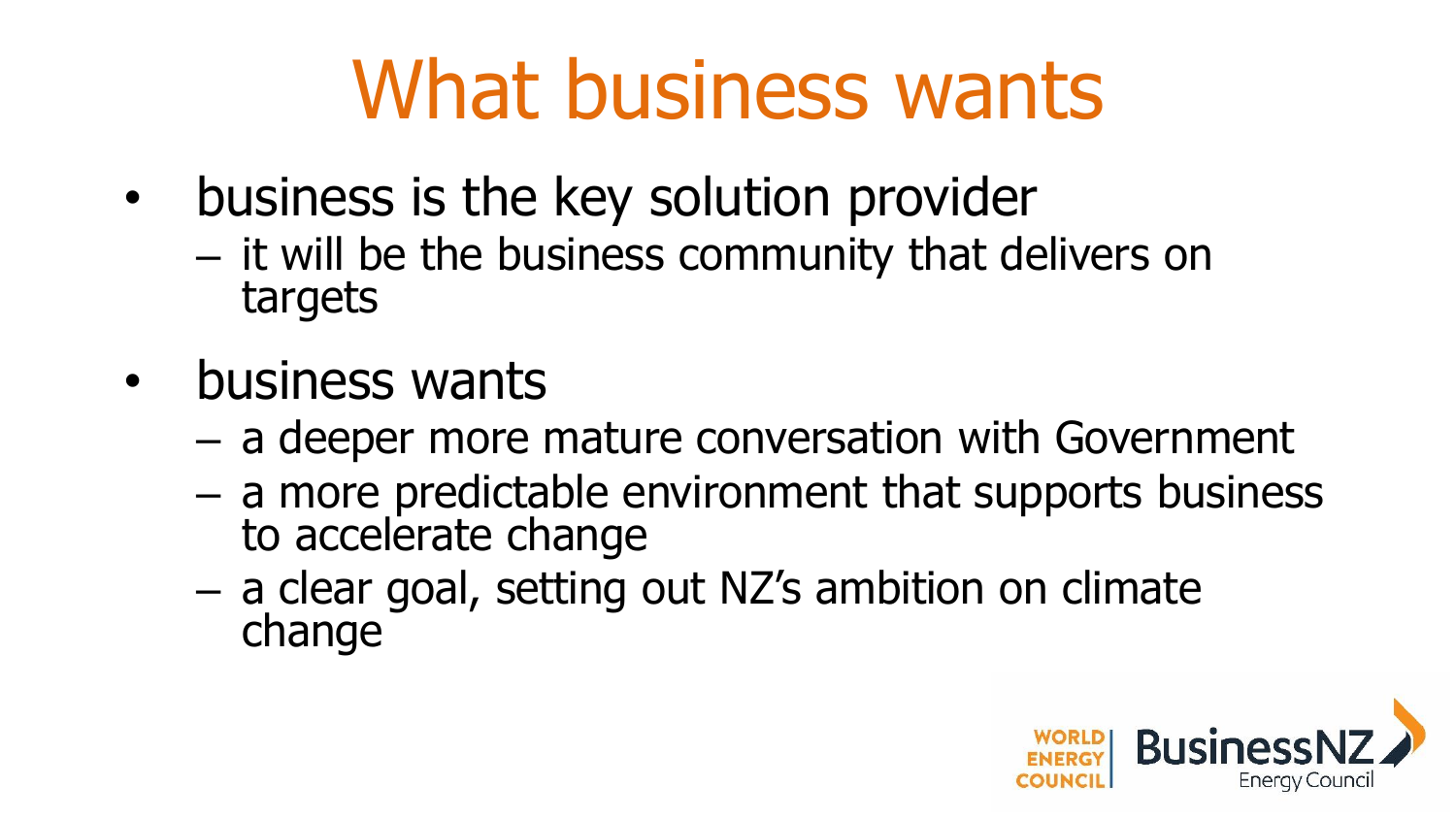## What business wants

- business is the key solution provider
	- it will be the business community that delivers on targets
- business wants
	- a deeper more mature conversation with Government
	- a more predictable environment that supports business to accelerate change
	- a clear goal, setting out NZ's ambition on climate change

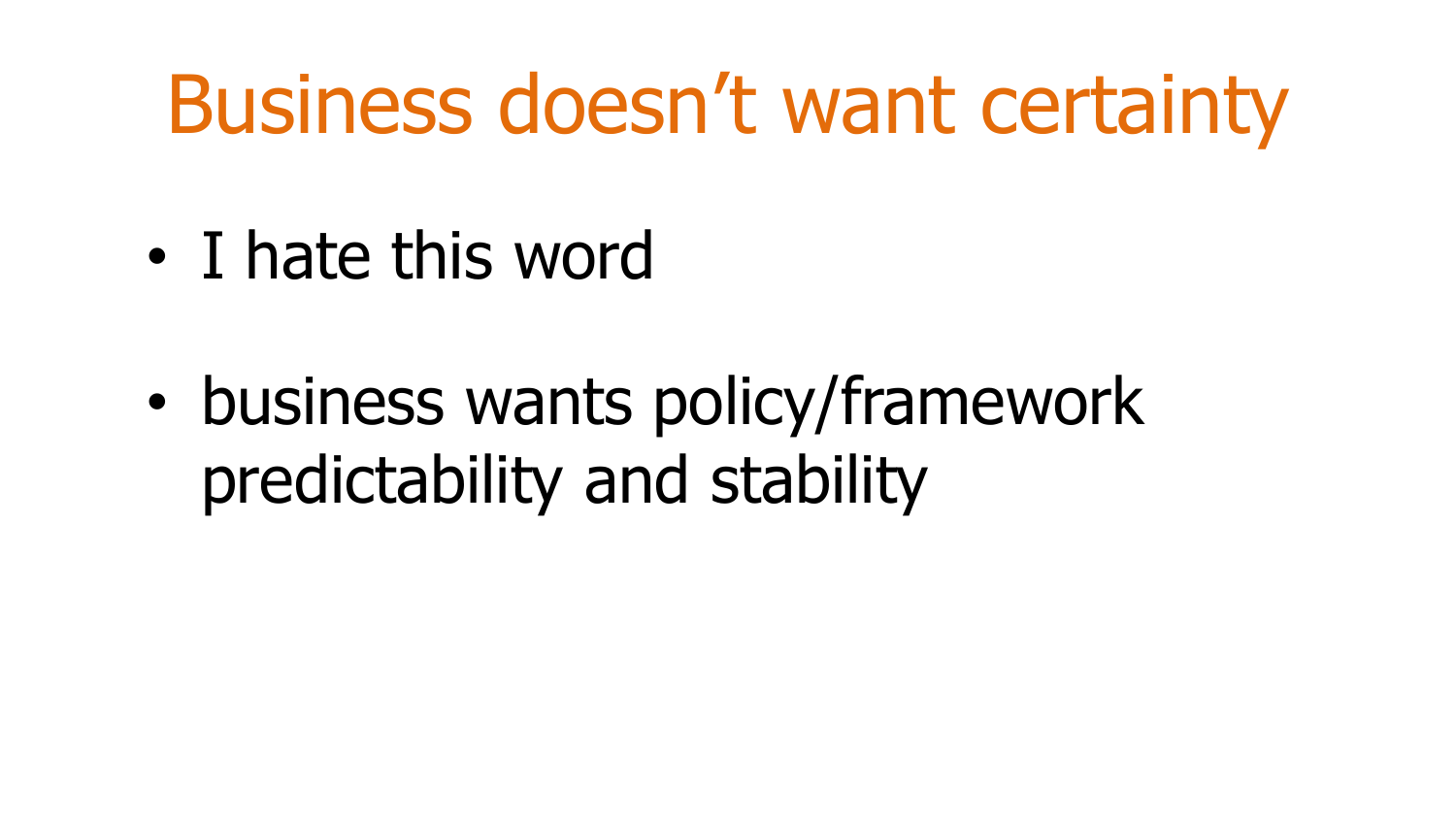#### Business doesn't want certainty

- I hate this word
- business wants policy/framework predictability and stability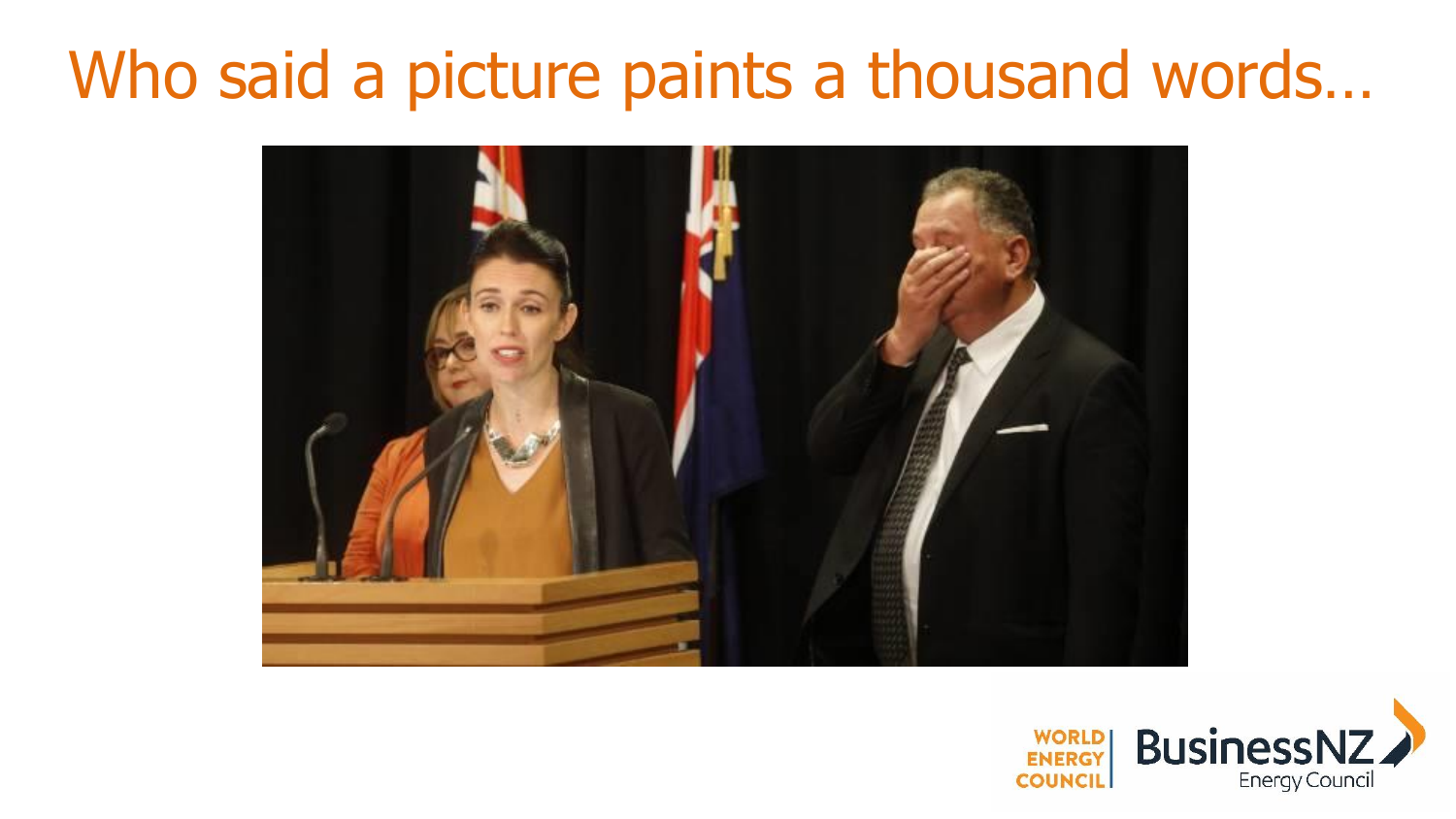#### Who said a picture paints a thousand words…



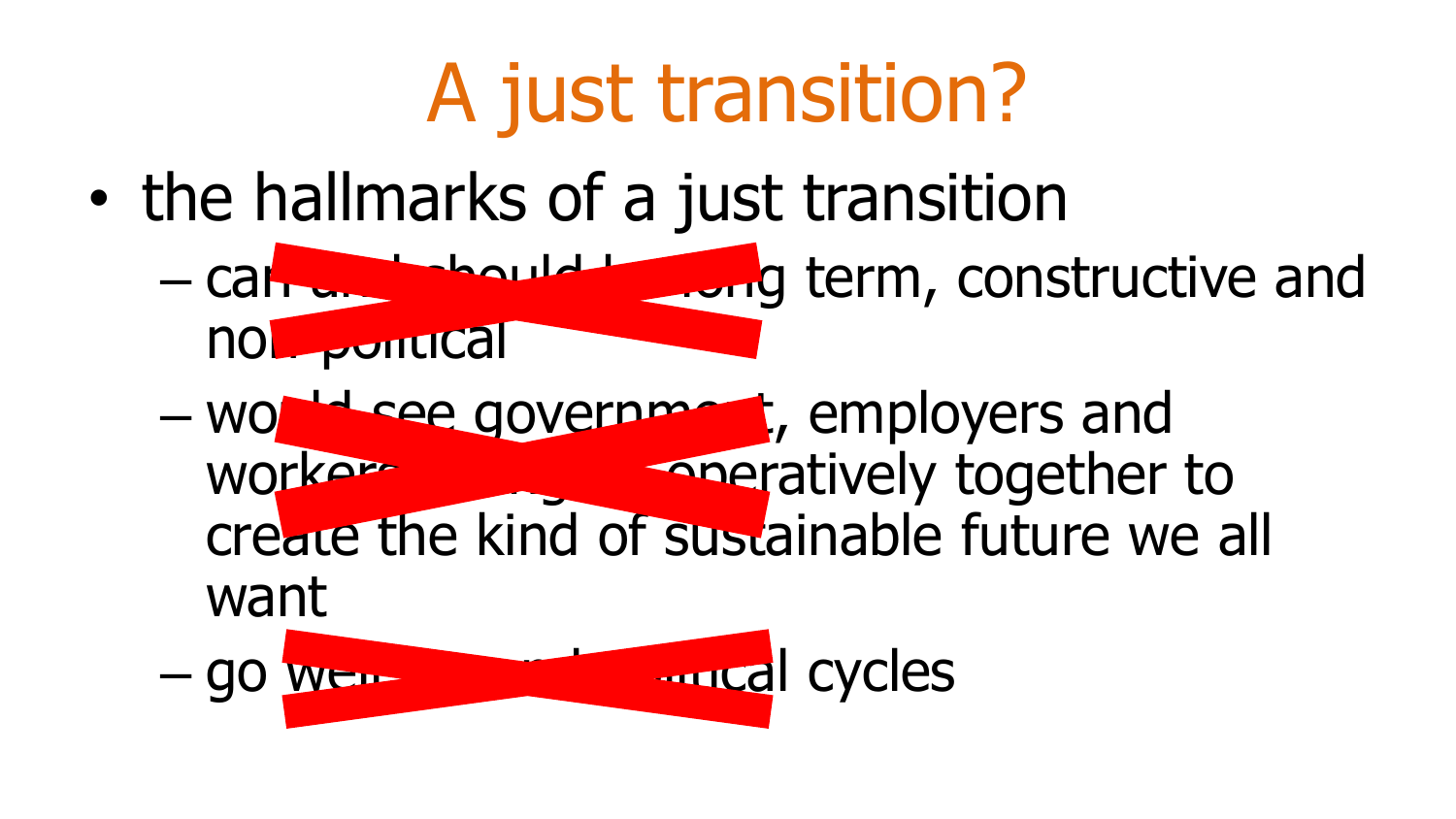#### A just transition?

• the hallmarks of a just transition

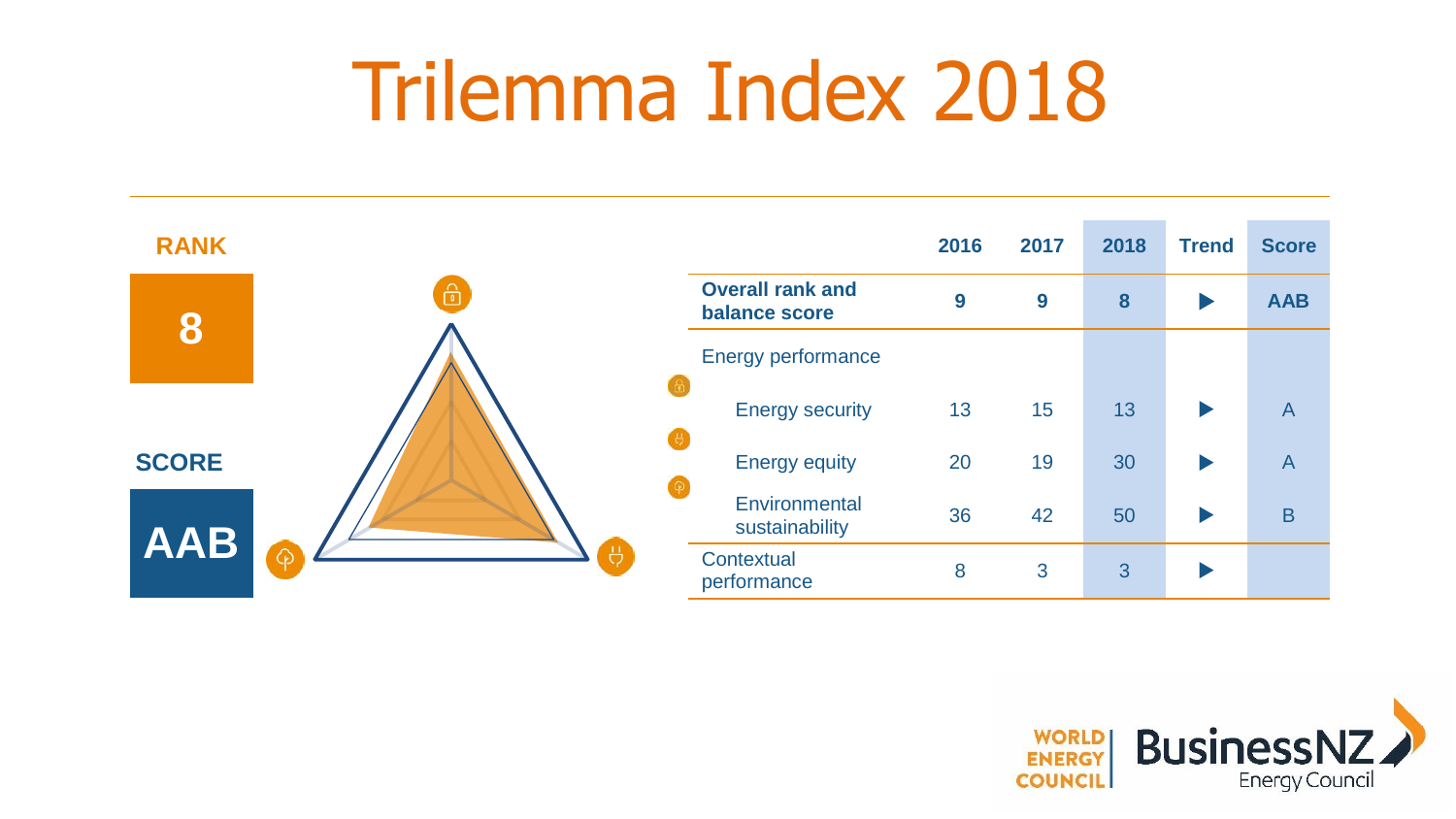#### Trilemma Index 2018



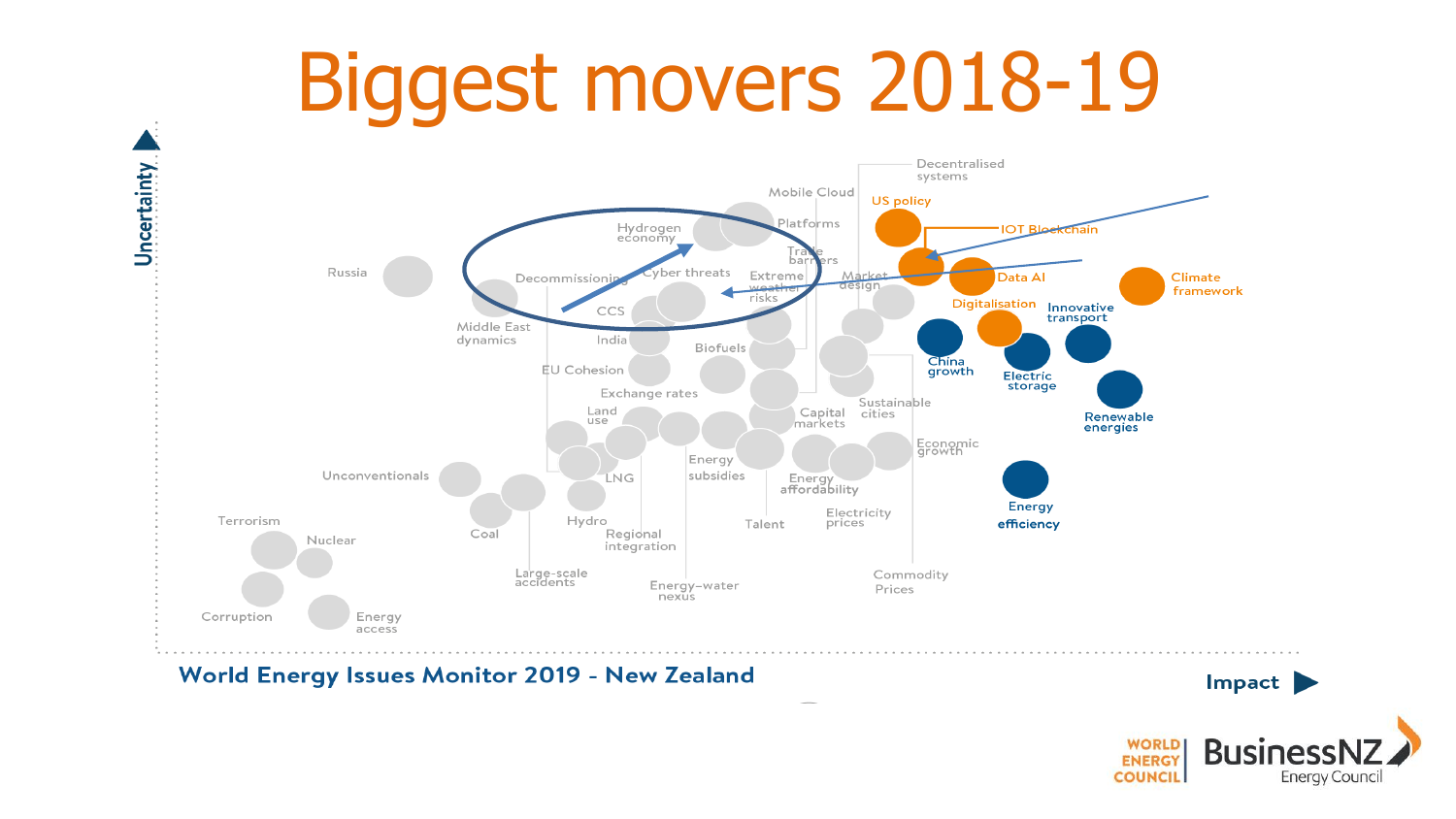#### Biggest movers 2018-19



#### **World Energy Issues Monitor 2019 - New Zealand**

 $Impact$